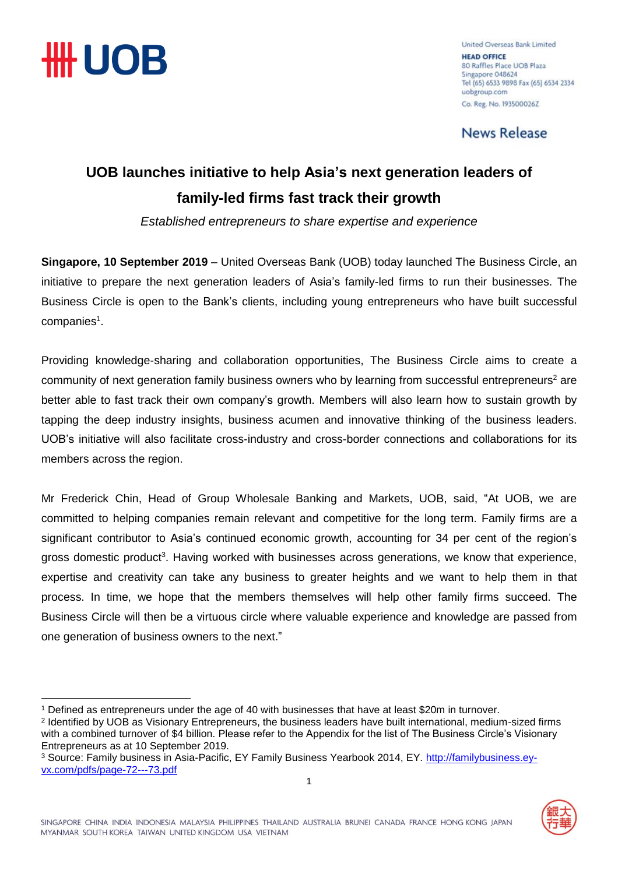

United Overseas Bank Limited **HEAD OFFICE** 80 Raffles Place UOB Plaza Singapore 048624 Tel (65) 6533 9898 Fax (65) 6534 2334 uobgroup.com Co. Reg. No. 1935000262

**News Release** 

### **UOB launches initiative to help Asia's next generation leaders of family-led firms fast track their growth**

*Established entrepreneurs to share expertise and experience*

**Singapore, 10 September 2019** – United Overseas Bank (UOB) today launched The Business Circle, an initiative to prepare the next generation leaders of Asia's family-led firms to run their businesses. The Business Circle is open to the Bank's clients, including young entrepreneurs who have built successful companies<sup>1</sup>.

Providing knowledge-sharing and collaboration opportunities, The Business Circle aims to create a community of next generation family business owners who by learning from successful entrepreneurs<sup>2</sup> are better able to fast track their own company's growth. Members will also learn how to sustain growth by tapping the deep industry insights, business acumen and innovative thinking of the business leaders. UOB's initiative will also facilitate cross-industry and cross-border connections and collaborations for its members across the region.

Mr Frederick Chin, Head of Group Wholesale Banking and Markets, UOB, said, "At UOB, we are committed to helping companies remain relevant and competitive for the long term. Family firms are a significant contributor to Asia's continued economic growth, accounting for 34 per cent of the region's gross domestic product<sup>3</sup>. Having worked with businesses across generations, we know that experience, expertise and creativity can take any business to greater heights and we want to help them in that process. In time, we hope that the members themselves will help other family firms succeed. The Business Circle will then be a virtuous circle where valuable experience and knowledge are passed from one generation of business owners to the next."

<sup>&</sup>lt;u>.</u> <sup>1</sup> Defined as entrepreneurs under the age of 40 with businesses that have at least \$20m in turnover.

<sup>2</sup> Identified by UOB as Visionary Entrepreneurs, the business leaders have built international, medium-sized firms with a combined turnover of \$4 billion. Please refer to the Appendix for the list of The Business Circle's Visionary Entrepreneurs as at 10 September 2019.

<sup>3</sup> Source: Family business in Asia-Pacific, EY Family Business Yearbook 2014, EY. [http://familybusiness.ey](http://familybusiness.ey-vx.com/pdfs/page-72---73.pdf)[vx.com/pdfs/page-72---73.pdf](http://familybusiness.ey-vx.com/pdfs/page-72---73.pdf)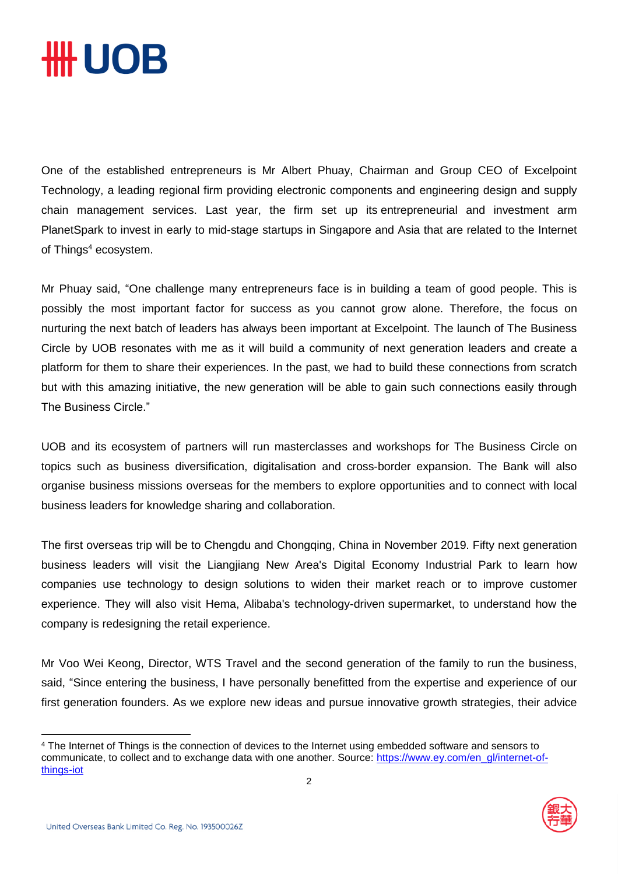# **\HH UOB**

One of the established entrepreneurs is Mr Albert Phuay, Chairman and Group CEO of Excelpoint Technology, a leading regional firm providing electronic components and engineering design and supply chain management services. Last year, the firm set up its entrepreneurial and investment arm PlanetSpark to invest in early to mid-stage startups in Singapore and Asia that are related to the Internet of Things<sup>4</sup> ecosystem.

Mr Phuay said, "One challenge many entrepreneurs face is in building a team of good people. This is possibly the most important factor for success as you cannot grow alone. Therefore, the focus on nurturing the next batch of leaders has always been important at Excelpoint. The launch of The Business Circle by UOB resonates with me as it will build a community of next generation leaders and create a platform for them to share their experiences. In the past, we had to build these connections from scratch but with this amazing initiative, the new generation will be able to gain such connections easily through The Business Circle."

UOB and its ecosystem of partners will run masterclasses and workshops for The Business Circle on topics such as business diversification, digitalisation and cross-border expansion. The Bank will also organise business missions overseas for the members to explore opportunities and to connect with local business leaders for knowledge sharing and collaboration.

The first overseas trip will be to Chengdu and Chongqing, China in November 2019. Fifty next generation business leaders will visit the Liangjiang New Area's Digital Economy Industrial Park to learn how companies use technology to design solutions to widen their market reach or to improve customer experience. They will also visit Hema, Alibaba's technology-driven supermarket, to understand how the company is redesigning the retail experience.

Mr Voo Wei Keong, Director, WTS Travel and the second generation of the family to run the business, said, "Since entering the business, I have personally benefitted from the expertise and experience of our first generation founders. As we explore new ideas and pursue innovative growth strategies, their advice

<sup>4</sup> The Internet of Things is the connection of devices to the Internet using embedded software and sensors to communicate, to collect and to exchange data with one another. Source: [https://www.ey.com/en\\_gl/internet-of](https://www.ey.com/en_gl/internet-of-things-iot)[things-iot](https://www.ey.com/en_gl/internet-of-things-iot)



<u>.</u>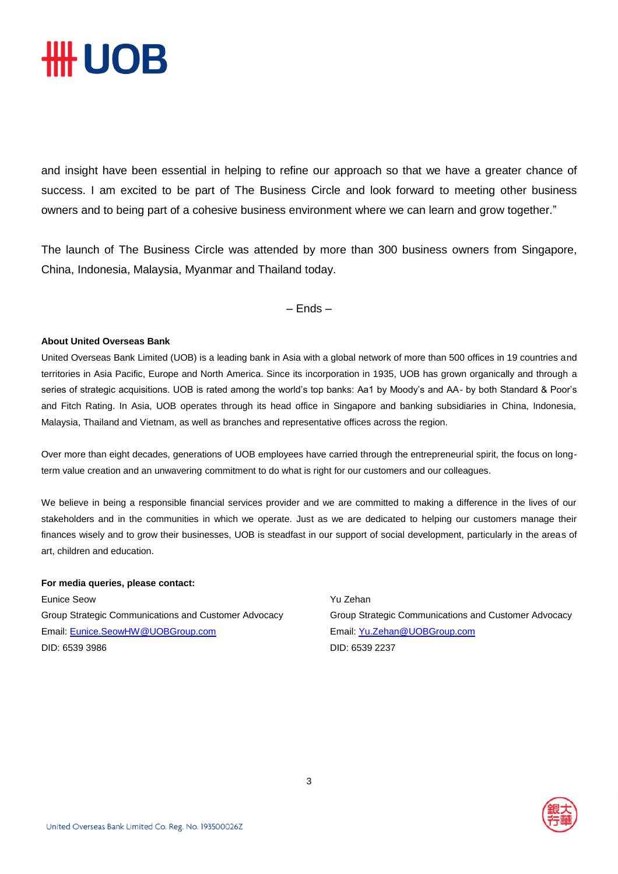## *HH UOB*

and insight have been essential in helping to refine our approach so that we have a greater chance of success. I am excited to be part of The Business Circle and look forward to meeting other business owners and to being part of a cohesive business environment where we can learn and grow together."

The launch of The Business Circle was attended by more than 300 business owners from Singapore, China, Indonesia, Malaysia, Myanmar and Thailand today.

– Ends –

#### **About United Overseas Bank**

United Overseas Bank Limited (UOB) is a leading bank in Asia with a global network of more than 500 offices in 19 countries and territories in Asia Pacific, Europe and North America. Since its incorporation in 1935, UOB has grown organically and through a series of strategic acquisitions. UOB is rated among the world's top banks: Aa1 by Moody's and AA- by both Standard & Poor's and Fitch Rating. In Asia, UOB operates through its head office in Singapore and banking subsidiaries in China, Indonesia, Malaysia, Thailand and Vietnam, as well as branches and representative offices across the region.

Over more than eight decades, generations of UOB employees have carried through the entrepreneurial spirit, the focus on longterm value creation and an unwavering commitment to do what is right for our customers and our colleagues.

We believe in being a responsible financial services provider and we are committed to making a difference in the lives of our stakeholders and in the communities in which we operate. Just as we are dedicated to helping our customers manage their finances wisely and to grow their businesses, UOB is steadfast in our support of social development, particularly in the areas of art, children and education.

#### **For media queries, please contact:**

Eunice Seow Group Strategic Communications and Customer Advocacy Email: [Eunice.SeowHW@UOBGroup.com](mailto:Eunice.SeowHW@UOBGroup.com) DID: 6539 3986

Yu Zehan Group Strategic Communications and Customer Advocacy Email: [Yu.Zehan@UOBGroup.com](mailto:Yu.Zehan@UOBGroup.com) DID: 6539 2237